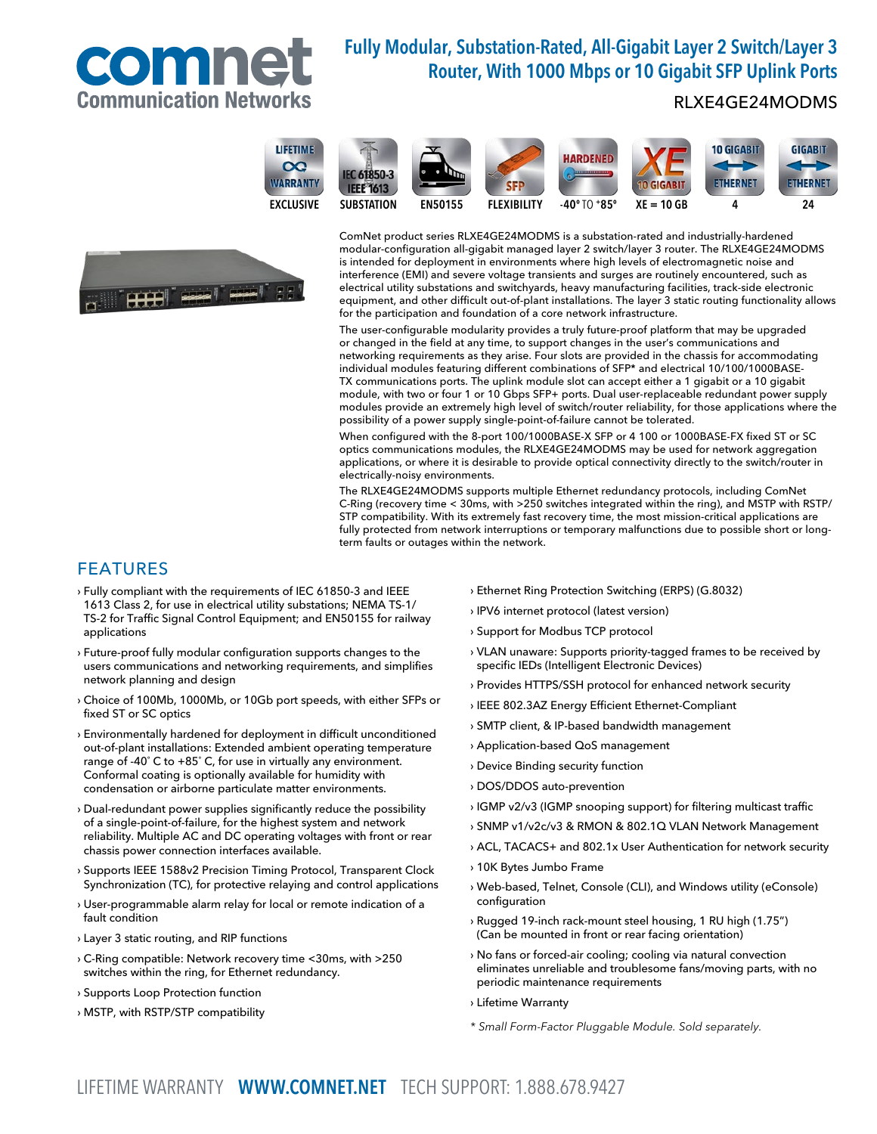

# Fully Modular, Substation-Rated, All-Gigabit Layer 2 Switch/Layer 3 Router, With 1000 Mbps or 10 Gigabit SFP Uplink Ports

### RLXE4GE24MODMS





10 GIGABIT **GIGABIT HARDENED IEC 61850-3 ETHERNET ETHERNET IEEE 1613** -40º TO XE = 10 GB 4 24 <sup>+</sup> SUBSTATION EN50155 FLEXIBILITY 85º

ComNet product series RLXE4GE24MODMS is a substation-rated and industrially-hardened modular-configuration all-gigabit managed layer 2 switch/layer 3 router. The RLXE4GE24MODMS is intended for deployment in environments where high levels of electromagnetic noise and interference (EMI) and severe voltage transients and surges are routinely encountered, such as electrical utility substations and switchyards, heavy manufacturing facilities, track-side electronic equipment, and other difficult out-of-plant installations. The layer 3 static routing functionality allows for the participation and foundation of a core network infrastructure.

The user-configurable modularity provides a truly future-proof platform that may be upgraded or changed in the field at any time, to support changes in the user's communications and networking requirements as they arise. Four slots are provided in the chassis for accommodating individual modules featuring different combinations of SFP\* and electrical 10/100/1000BASE-TX communications ports. The uplink module slot can accept either a 1 gigabit or a 10 gigabit module, with two or four 1 or 10 Gbps SFP+ ports. Dual user-replaceable redundant power supply modules provide an extremely high level of switch/router reliability, for those applications where the possibility of a power supply single-point-of-failure cannot be tolerated.

When configured with the 8-port 100/1000BASE-X SFP or 4 100 or 1000BASE-FX fixed ST or SC optics communications modules, the RLXE4GE24MODMS may be used for network aggregation applications, or where it is desirable to provide optical connectivity directly to the switch/router in electrically-noisy environments.

The RLXE4GE24MODMS supports multiple Ethernet redundancy protocols, including ComNet C-Ring (recovery time < 30ms, with >250 switches integrated within the ring), and MSTP with RSTP/ STP compatibility. With its extremely fast recovery time, the most mission-critical applications are fully protected from network interruptions or temporary malfunctions due to possible short or longterm faults or outages within the network.

### FEATURES

- › Fully compliant with the requirements of IEC 61850-3 and IEEE 1613 Class 2, for use in electrical utility substations; NEMA TS-1/ TS-2 for Traffic Signal Control Equipment; and EN50155 for railway applications
- › Future-proof fully modular configuration supports changes to the users communications and networking requirements, and simplifies network planning and design
- › Choice of 100Mb, 1000Mb, or 10Gb port speeds, with either SFPs or fixed ST or SC optics
- › Environmentally hardened for deployment in difficult unconditioned out-of-plant installations: Extended ambient operating temperature range of -40˚ C to +85˚ C, for use in virtually any environment. Conformal coating is optionally available for humidity with condensation or airborne particulate matter environments.
- › Dual-redundant power supplies significantly reduce the possibility of a single-point-of-failure, for the highest system and network reliability. Multiple AC and DC operating voltages with front or rear chassis power connection interfaces available.
- › Supports IEEE 1588v2 Precision Timing Protocol, Transparent Clock Synchronization (TC), for protective relaying and control applications
- › User-programmable alarm relay for local or remote indication of a fault condition
- › Layer 3 static routing, and RIP functions
- › C-Ring compatible: Network recovery time <30ms, with >250 switches within the ring, for Ethernet redundancy.
- › Supports Loop Protection function
- › MSTP, with RSTP/STP compatibility
- › Ethernet Ring Protection Switching (ERPS) (G.8032)
- › IPV6 internet protocol (latest version)
- › Support for Modbus TCP protocol
- › VLAN unaware: Supports priority-tagged frames to be received by specific IEDs (Intelligent Electronic Devices)
- › Provides HTTPS/SSH protocol for enhanced network security
- › IEEE 802.3AZ Energy Efficient Ethernet-Compliant
- › SMTP client, & IP-based bandwidth management
- › Application-based QoS management
- › Device Binding security function
- › DOS/DDOS auto-prevention
- › IGMP v2/v3 (IGMP snooping support) for filtering multicast traffic
- › SNMP v1/v2c/v3 & RMON & 802.1Q VLAN Network Management
- › ACL, TACACS+ and 802.1x User Authentication for network security
- › 10K Bytes Jumbo Frame
- › Web-based, Telnet, Console (CLI), and Windows utility (eConsole) configuration
- › Rugged 19-inch rack-mount steel housing, 1 RU high (1.75") (Can be mounted in front or rear facing orientation)
- › No fans or forced-air cooling; cooling via natural convection eliminates unreliable and troublesome fans/moving parts, with no periodic maintenance requirements
- › Lifetime Warranty
- \* Small Form-Factor Pluggable Module. Sold separately.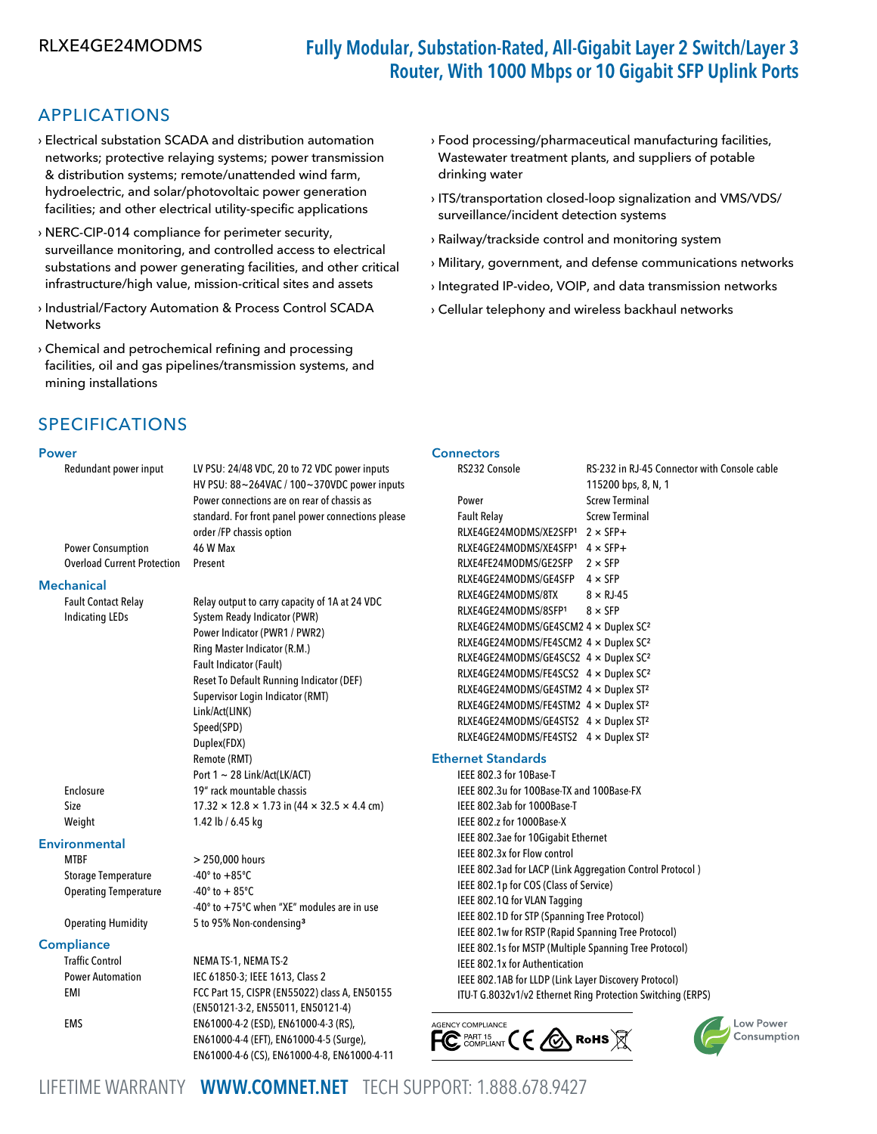# RLXE4GE24MODMS Fully Modular, Substation-Rated, All-Gigabit Layer 2 Switch/Layer 3 Router, With 1000 Mbps or 10 Gigabit SFP Uplink Ports

## APPLICATIONS

- › Electrical substation SCADA and distribution automation networks; protective relaying systems; power transmission & distribution systems; remote/unattended wind farm, hydroelectric, and solar/photovoltaic power generation facilities; and other electrical utility-specific applications
- › NERC-CIP-014 compliance for perimeter security, surveillance monitoring, and controlled access to electrical substations and power generating facilities, and other critical infrastructure/high value, mission-critical sites and assets
- › Industrial/Factory Automation & Process Control SCADA **Networks**
- › Chemical and petrochemical refining and processing facilities, oil and gas pipelines/transmission systems, and mining installations
- › Food processing/pharmaceutical manufacturing facilities, Wastewater treatment plants, and suppliers of potable drinking water
- › ITS/transportation closed-loop signalization and VMS/VDS/ surveillance/incident detection systems
- › Railway/trackside control and monitoring system
- › Military, government, and defense communications networks
- › Integrated IP-video, VOIP, and data transmission networks
- › Cellular telephony and wireless backhaul networks

**Connectors** 

# SPECIFICATIONS

#### Power

| Redundant power input                                | LV PSU: 24/48 VDC, 20 to 72 VDC power inputs<br>HV PSU: 88~264VAC / 100~370VDC power inputs | RS232 Console              |
|------------------------------------------------------|---------------------------------------------------------------------------------------------|----------------------------|
|                                                      | Power connections are on rear of chassis as                                                 | Power                      |
|                                                      | standard. For front panel power connections please                                          | <b>Fault Relay</b>         |
|                                                      | order /FP chassis option                                                                    | RLXE4GE24MODMS/XE2SI       |
| <b>Power Consumption</b>                             | 46 W Max                                                                                    | RLXE4GE24MODMS/XE4SI       |
| <b>Overload Current Protection</b>                   | Present                                                                                     | RLXE4FE24MODMS/GE2SF       |
|                                                      |                                                                                             | RLXE4GE24MODMS/GE4SI       |
| <b>Mechanical</b>                                    |                                                                                             | RLXE4GE24MODMS/8TX         |
| <b>Fault Contact Relay</b><br><b>Indicating LEDs</b> | Relay output to carry capacity of 1A at 24 VDC                                              | RLXE4GE24MODMS/8SFP1       |
|                                                      | System Ready Indicator (PWR)                                                                | RLXE4GE24MODMS/GE4S        |
|                                                      | Power Indicator (PWR1 / PWR2)                                                               | RLXE4GE24MODMS/FE4S0       |
|                                                      | Ring Master Indicator (R.M.)                                                                | RLXE4GE24MODMS/GE4S        |
|                                                      | Fault Indicator (Fault)                                                                     | RLXE4GE24MODMS/FE4S0       |
|                                                      | Reset To Default Running Indicator (DEF)                                                    | RLXE4GE24MODMS/GE4ST       |
|                                                      | Supervisor Login Indicator (RMT)<br>Link/Act(LINK)                                          | RLXE4GE24MODMS/FE4ST       |
|                                                      |                                                                                             | RLXE4GE24MODMS/GE4ST       |
|                                                      | Speed(SPD)<br>Duplex(FDX)                                                                   | RLXE4GE24MODMS/FE4ST       |
|                                                      | Remote (RMT)                                                                                | <b>Ethernet Standards</b>  |
|                                                      | Port $1 \sim 28$ Link/Act(LK/ACT)                                                           | IEEE 802.3 for 10Base-T    |
| Enclosure                                            | 19" rack mountable chassis                                                                  | IEEE 802.3u for 100Base-T  |
| Size                                                 | $17.32 \times 12.8 \times 1.73$ in (44 $\times$ 32.5 $\times$ 4.4 cm)                       | IEEE 802.3ab for 1000Bas   |
| Weight                                               | 1.42 lb / 6.45 kg                                                                           | IEEE 802.z for 1000Base-X  |
|                                                      |                                                                                             | IEEE 802.3ae for 10Gigabi  |
| <b>Environmental</b>                                 |                                                                                             | IEEE 802.3x for Flow contr |
| <b>MTBF</b>                                          | > 250,000 hours                                                                             | IEEE 802.3ad for LACP (Lin |
| <b>Storage Temperature</b>                           | $-40^{\circ}$ to $+85^{\circ}$ C                                                            | IEEE 802.1p for COS (Class |
| <b>Operating Temperature</b>                         | $-40^{\circ}$ to $+85^{\circ}$ C                                                            | IEEE 802.10 for VLAN Tagg  |
|                                                      | -40° to +75°C when "XE" modules are in use                                                  | IEEE 802.1D for STP (Span  |
| <b>Operating Humidity</b>                            | 5 to 95% Non-condensing <sup>3</sup>                                                        | IEEE 802.1w for RSTP (Rap  |
| <b>Compliance</b>                                    |                                                                                             | IEEE 802.1s for MSTP (Mul  |
| <b>Traffic Control</b>                               | NEMA TS-1, NEMA TS-2                                                                        | IEEE 802.1x for Authentica |
| <b>Power Automation</b>                              | IEC 61850-3; IEEE 1613, Class 2                                                             | IEEE 802.1AB for LLDP (Lin |
| EMI                                                  | FCC Part 15, CISPR (EN55022) class A, EN50155                                               | ITU-T G.8032v1/v2 Etherne  |

### 115200 bps, 8, N, 1 **Screw Terminal Screw Terminal**  $FP<sup>1</sup>$  2 × SFP+  $P^1$  4 × SFP+  $P$  2 × SFP  $FP \quad 4 \times SFP$  $8 \times R$ J-45  $8 \times$  SFP  $CM2$  4  $\times$  Duplex SC<sup>2</sup>  $CM2$  4  $\times$  Duplex SC<sup>2</sup>  $CS2 \, 4 \times$  Duplex SC<sup>2</sup>  $CS2 \quad 4 \times$  Duplex SC<sup>2</sup>  $TM2$  4  $\times$  Duplex ST<sup>2</sup>  $TM2$  4 × Duplex ST<sup>2</sup>  $TS2 \quad 4 \times$  Duplex ST<sup>2</sup>  $S2 \quad 4 \times$  Duplex ST<sup>2</sup> IX and 100Base-FX

RS-232 in RJ-45 Connector with Console cable

IEEE 802.3ab for 1000Base-T it Ethernet IEEE 802.3x for Flow control Ik Aggregation Control Protocol) of Service) ging ning Tree Protocol) id Spanning Tree Protocol) Itiple Spanning Tree Protocol) ition Ik Layer Discovery Protocol) ITU-T G.8032v1/v2 Ethernet Ring Protection Switching (ERPS)





LIFETIME WARRANTY WWW.COMNET.NET TECH SUPPORT: 1.888.678.9427

(EN50121-3-2, EN55011, EN50121-4)

EN61000-4-4 (EFT), EN61000-4-5 (Surge), EN61000-4-6 (CS), EN61000-4-8, EN61000-4-11

EMS EN61000-4-2 (ESD), EN61000-4-3 (RS),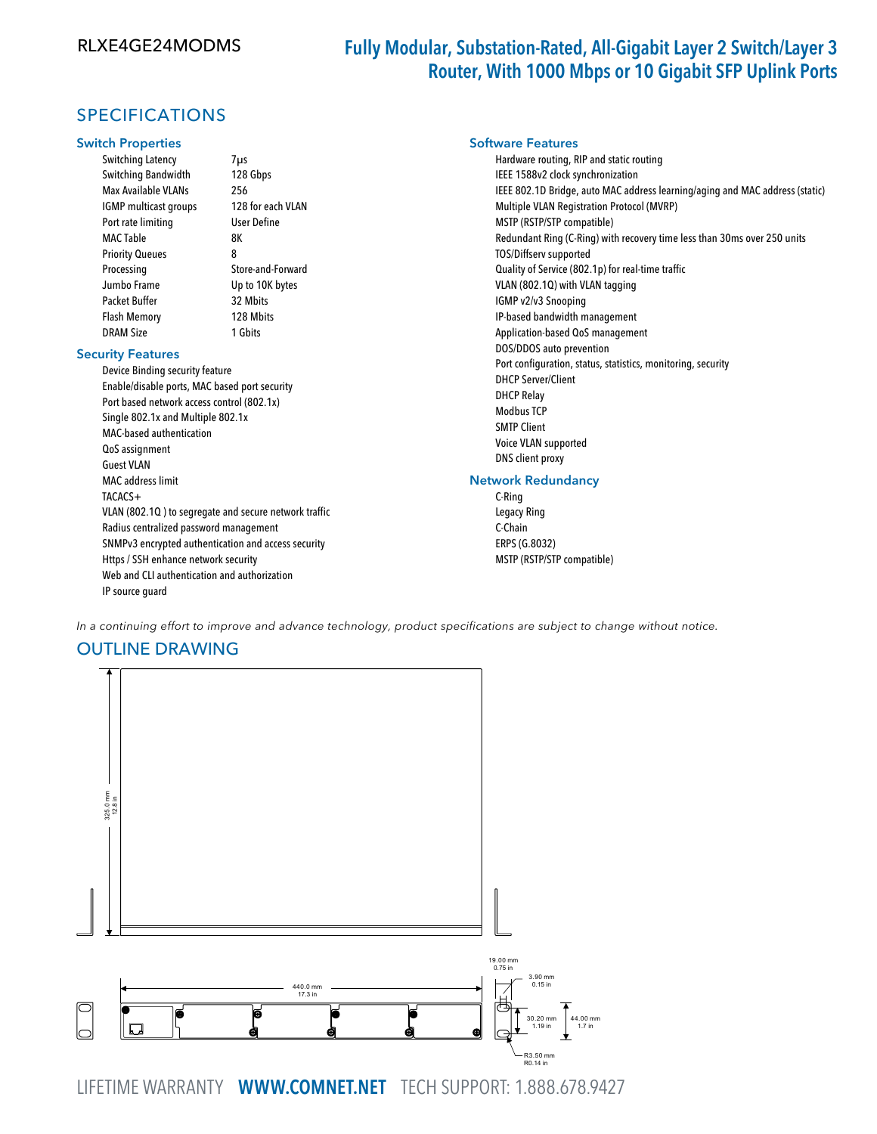## Fully Modular, Substation-Rated, All-Gigabit Layer 2 Switch/Layer 3 Router, With 1000 Mbps or 10 Gigabit SFP Uplink Ports

## SPECIFICATIONS

#### Switch Properties

Switching Latency 7μs Switching Bandwidth 128 Gbps Max Available VLANs 256 IGMP multicast groups 128 for each VLAN Port rate limiting User Define MAC Table 8K Priority Queues 8 Processing Store-and-Forward Jumbo Frame Up to 10K bytes Packet Buffer 32 Mbits Flash Memory 128 Mbits DRAM Size 1 Gbits

#### Security Features

Device Binding security feature Enable/disable ports, MAC based port security Port based network access control (802.1x) Single 802.1x and Multiple 802.1x MAC-based authentication QoS assignment Guest VLAN MAC address limit TACACS+ VLAN (802.1Q ) to segregate and secure network traffic Radius centralized password management SNMPv3 encrypted authentication and access security Https / SSH enhance network security Web and CLI authentication and authorization IP source guard

#### Software Features

Hardware routing, RIP and static routing IEEE 1588v2 clock synchronization IEEE 802.1D Bridge, auto MAC address learning/aging and MAC address (static) Multiple VLAN Registration Protocol (MVRP) MSTP (RSTP/STP compatible) Redundant Ring (C-Ring) with recovery time less than 30ms over 250 units TOS/Diffserv supported Quality of Service (802.1p) for real-time traffic VLAN (802.1Q) with VLAN tagging IGMP v2/v3 Snooping IP-based bandwidth management Application-based QoS management DOS/DDOS auto prevention Port configuration, status, statistics, monitoring, security DHCP Server/Client DHCP Relay Modbus TCP SMTP Client Voice VLAN supported DNS client proxy

### Network Redundancy

C-Ring Legacy Ring C-Chain ERPS (G.8032) MSTP (RSTP/STP compatible)

In a continuing effort to improve and advance technology, product specifications are subject to change without notice.

### OUTLINE DRAWING



LIFETIME WARRANTY WWW.COMNET.NET TECH SUPPORT: 1.888.678.9427